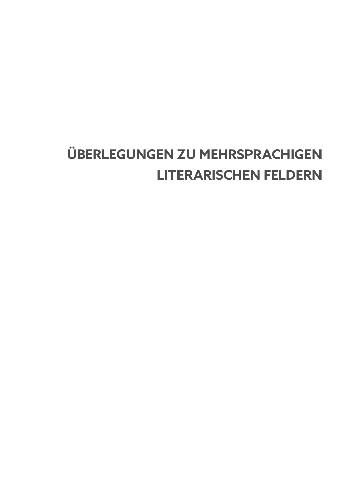# ÜBERLEGUNGEN ZU MEHRSPRACHIGEN **LITERARISCHEN FELDERN**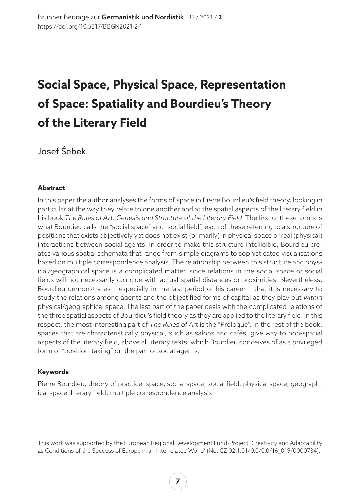## **Social Space, Physical Space, Representation of Space: Spatiality and Bourdieu's Theory of the Literary Field**

Josef Šebek

#### **Abstract**

In this paper the author analyses the forms of space in Pierre Bourdieu's field theory, looking in particular at the way they relate to one another and at the spatial aspects of the literary field in his book *The Rules of Art: Genesis and Structure of the Literary Field*. The first of these forms is what Bourdieu calls the "social space" and "social field", each of these referring to a structure of positions that exists objectively yet does not exist (primarily) in physical space or real (physical) interactions between social agents. In order to make this structure intelligible, Bourdieu creates various spatial schemata that range from simple diagrams to sophisticated visualisations based on multiple correspondence analysis. The relationship between this structure and physical/geographical space is a complicated matter, since relations in the social space or social fields will not necessarily coincide with actual spatial distances or proximities. Nevertheless, Bourdieu demonstrates – especially in the last period of his career – that it is necessary to study the relations among agents and the objectified forms of capital as they play out *within* physical/geographical space. The last part of the paper deals with the complicated relations of the three spatial aspects of Bourdieu's field theory as they are applied to the literary field. In this respect, the most interesting part of *The Rules of Art* is the "Prologue". In the rest of the book, spaces that are characteristically physical, such as salons and cafés, give way to non-spatial aspects of the literary field, above all literary texts, which Bourdieu conceives of as a privileged form of "position-taking" on the part of social agents.

#### **Keywords**

Pierre Bourdieu; theory of practice; space; social space; social field; physical space; geographical space; literary field; multiple correspondence analysis.

This work was supported by the European Regional Development Fund-Project 'Creativity and Adaptability as Conditions of the Success of Europe in an Interrelated World' (No. CZ.02.1.01/0.0/0.0/16 019/0000734).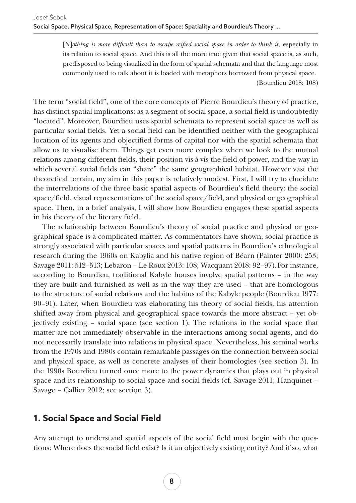[N]othing is more difficult than to escape reified social space in order to think it, especially in its relation to social space. And this is all the more true given that social space is, as such, predisposed to being visualized in the form of spatial schemata and that the language most commonly used to talk about it is loaded with metaphors borrowed from physical space. (Bourdieu 2018: 108)

The term "social field", one of the core concepts of Pierre Bourdieu's theory of practice, has distinct spatial implications: as a segment of social space, a social field is undoubtedly "located". Moreover, Bourdieu uses spatial schemata to represent social space as well as particular social fields. Yet a social field can be identified neither with the geographical location of its agents and objectified forms of capital nor with the spatial schemata that allow us to visualise them. Things get even more complex when we look to the mutual relations among different fields, their position vis-à-vis the field of power, and the way in which several social fields can "share" the same geographical habitat. However vast the theoretical terrain, my aim in this paper is relatively modest. First, I will try to elucidate the interrelations of the three basic spatial aspects of Bourdieu's field theory: the social space/field, visual representations of the social space/field, and physical or geographical space. Then, in a brief analysis, I will show how Bourdieu engages these spatial aspects in his theory of the literary field.

The relationship between Bourdieu's theory of social practice and physical or geographical space is a complicated matter. As commentators have shown, social practice is strongly associated with particular spaces and spatial patterns in Bourdieu's ethnological research during the 1960s on Kabylia and his native region of Béarn (Painter 2000: 253; Savage 2011: 512–513; Lebaron – Le Roux 2013: 108; Wacquant 2018: 92–97). For instance, according to Bourdieu, traditional Kabyle houses involve spatial patterns – in the way they are built and furnished as well as in the way they are used – that are homologous to the structure of social relations and the habitus of the Kabyle people (Bourdieu 1977: 90–91). Later, when Bourdieu was elaborating his theory of social fields, his attention shifted away from physical and geographical space towards the more abstract – yet objectively existing – social space (see section 1). The relations in the social space that matter are not immediately observable in the interactions among social agents, and do not necessarily translate into relations in physical space. Nevertheless, his seminal works from the 1970s and 1980s contain remarkable passages on the connection between social and physical space, as well as concrete analyses of their homologies (see section 3). In the 1990s Bourdieu turned once more to the power dynamics that plays out in physical space and its relationship to social space and social fields (cf. Savage 2011; Hanquinet – Savage – Callier 2012; see section 3).

## **1. Social Space and Social Field**

Any attempt to understand spatial aspects of the social field must begin with the questions: Where does the social field exist? Is it an objectively existing entity? And if so, what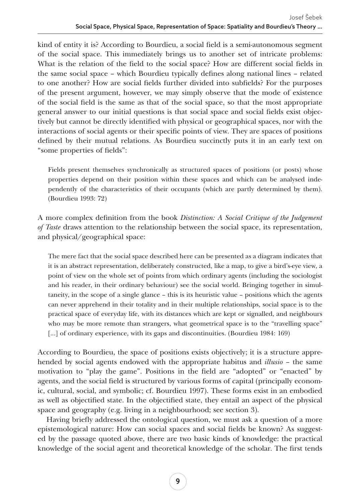kind of entity it is? According to Bourdieu, a social field is a semi-autonomous segment of the social space. This immediately brings us to another set of intricate problems: What is the relation of the field to the social space? How are different social fields in the same social space – which Bourdieu typically defines along national lines – related to one another? How are social fields further divided into subfields? For the purposes of the present argument, however, we may simply observe that the mode of existence of the social field is the same as that of the social space, so that the most appropriate general answer to our initial questions is that social space and social fields exist objectively but cannot be directly identified with physical or geographical spaces, nor with the interactions of social agents or their specific points of view. They are spaces of positions defined by their mutual relations. As Bourdieu succinctly puts it in an early text on "some properties of fields":

Fields present themselves synchronically as structured spaces of positions (or posts) whose properties depend on their position within these spaces and which can be analysed independently of the characteristics of their occupants (which are partly determined by them). (Bourdieu 1993: 72)

A more complex definition from the book *Distinction: A Social Critique of the Judgement of Taste* draws attention to the relationship between the social space, its representation, and physical/geographical space:

The mere fact that the social space described here can be presented as a diagram indicates that it is an abstract representation, deliberately constructed, like a map, to give a bird's-eye view, a point of view on the whole set of points from which ordinary agents (including the sociologist and his reader, in their ordinary behaviour) see the social world. Bringing together in simultaneity, in the scope of a single glance – this is its heuristic value – positions which the agents can never apprehend in their totality and in their multiple relationships, social space is to the practical space of everyday life, with its distances which are kept or signalled, and neighbours who may be more remote than strangers, what geometrical space is to the "travelling space" [...] of ordinary experience, with its gaps and discontinuities. (Bourdieu 1984: 169)

According to Bourdieu, the space of positions exists objectively; it is a structure apprehended by social agents endowed with the appropriate habitus and *illusio* – the same motivation to "play the game". Positions in the field are "adopted" or "enacted" by agents, and the social field is structured by various forms of capital (principally economic, cultural, social, and symbolic; cf. Bourdieu 1997). These forms exist in an embodied as well as objectified state. In the objectified state, they entail an aspect of the physical space and geography (e.g. living in a neighbourhood; see section 3).

Having briefly addressed the ontological question, we must ask a question of a more epistemological nature: How can social spaces and social fields be known? As suggested by the passage quoted above, there are two basic kinds of knowledge: the practical knowledge of the social agent and theoretical knowledge of the scholar. The first tends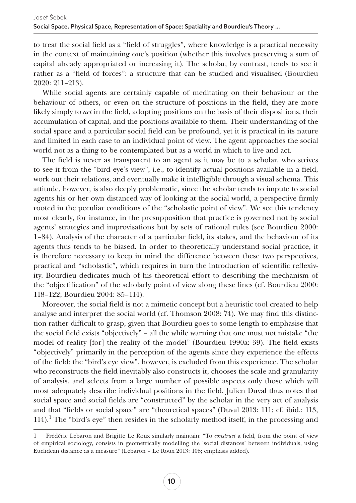to treat the social field as a "field of struggles", where knowledge is a practical necessity in the context of maintaining one's position (whether this involves preserving a sum of capital already appropriated or increasing it). The scholar, by contrast, tends to see it rather as a "field of forces": a structure that can be studied and visualised (Bourdieu 2020: 211–213).

While social agents are certainly capable of meditating on their behaviour or the behaviour of others, or even on the structure of positions in the field, they are more likely simply to *act* in the field, adopting positions on the basis of their dispositions, their accumulation of capital, and the positions available to them. Their understanding of the social space and a particular social field can be profound, yet it is practical in its nature and limited in each case to an individual point of view. The agent approaches the social world not as a thing to be contemplated but as a world in which to live and act.

The field is never as transparent to an agent as it may be to a scholar, who strives to see it from the "bird eye's view", i.e., to identify actual positions available in a field, work out their relations, and eventually make it intelligible through a visual schema. This attitude, however, is also deeply problematic, since the scholar tends to impute to social agents his or her own distanced way of looking at the social world, a perspective firmly rooted in the peculiar conditions of the "scholastic point of view". We see this tendency most clearly, for instance, in the presupposition that practice is governed not by social agents' strategies and improvisations but by sets of rational rules (see Bourdieu 2000: 1–84). Analysis of the character of a particular field, its stakes, and the behaviour of its agents thus tends to be biased. In order to theoretically understand social practice, it is therefore necessary to keep in mind the difference between these two perspectives, practical and "scholastic", which requires in turn the introduction of scientific reflexivity. Bourdieu dedicates much of his theoretical effort to describing the mechanism of the "objectification" of the scholarly point of view along these lines (cf. Bourdieu 2000: 118–122; Bourdieu 2004: 85–114).

Moreover, the social field is not a mimetic concept but a heuristic tool created to help analyse and interpret the social world (cf. Thomson 2008: 74). We may find this distinction rather difficult to grasp, given that Bourdieu goes to some length to emphasise that the social field exists "objectively" – all the while warning that one must not mistake "the model of reality [for] the reality of the model" (Bourdieu 1990a: 39). The field exists "objectively" primarily in the perception of the agents since they experience the effects of the field; the "bird's eye view", however, is excluded from this experience. The scholar who reconstructs the field inevitably also constructs it, chooses the scale and granularity of analysis, and selects from a large number of possible aspects only those which will most adequately describe individual positions in the field. Julien Duval thus notes that social space and social fields are "constructed" by the scholar in the very act of analysis and that "fields or social space" are "theoretical spaces" (Duval 2013: 111; cf. ibid.: 113, 114).<sup>1</sup> The "bird's eye" then resides in the scholarly method itself, in the processing and

<sup>1</sup> Frédéric Lebaron and Brigitte Le Roux similarly maintain: "To *construct* a field, from the point of view of empirical sociology, consists in geometrically modelling the 'social distances' between individuals, using Euclidean distance as a measure" (Lebaron – Le Roux 2013: 108; emphasis added).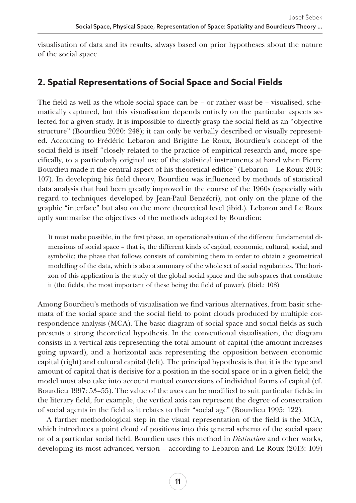visualisation of data and its results, always based on prior hypotheses about the nature of the social space.

## **2. Spatial Representations of Social Space and Social Fields**

The field as well as the whole social space can be – or rather *must* be – visualised, schematically captured, but this visualisation depends entirely on the particular aspects selected for a given study. It is impossible to directly grasp the social field as an "objective structure" (Bourdieu 2020: 248); it can only be verbally described or visually represented. According to Frédéric Lebaron and Brigitte Le Roux, Bourdieu's concept of the social field is itself "closely related to the practice of empirical research and, more specifically, to a particularly original use of the statistical instruments at hand when Pierre Bourdieu made it the central aspect of his theoretical edifice" (Lebaron – Le Roux 2013: 107). In developing his field theory, Bourdieu was influenced by methods of statistical data analysis that had been greatly improved in the course of the 1960s (especially with regard to techniques developed by Jean-Paul Benzécri), not only on the plane of the graphic "interface" but also on the more theoretical level (ibid.). Lebaron and Le Roux aptly summarise the objectives of the methods adopted by Bourdieu:

It must make possible, in the first phase, an operationalisation of the different fundamental dimensions of social space – that is, the different kinds of capital, economic, cultural, social, and symbolic; the phase that follows consists of combining them in order to obtain a geometrical modelling of the data, which is also a summary of the whole set of social regularities. The horizon of this application is the study of the global social space and the sub-spaces that constitute it (the fields, the most important of these being the field of power). (ibid.: 108)

Among Bourdieu's methods of visualisation we find various alternatives, from basic schemata of the social space and the social field to point clouds produced by multiple correspondence analysis (MCA). The basic diagram of social space and social fields as such presents a strong theoretical hypothesis. In the conventional visualisation, the diagram consists in a vertical axis representing the total amount of capital (the amount increases going upward), and a horizontal axis representing the opposition between economic capital (right) and cultural capital (left). The principal hypothesis is that it is the type and amount of capital that is decisive for a position in the social space or in a given field; the model must also take into account mutual conversions of individual forms of capital (cf. Bourdieu 1997: 53–55). The value of the axes can be modified to suit particular fields: in the literary field, for example, the vertical axis can represent the degree of consecration of social agents in the field as it relates to their "social age" (Bourdieu 1995: 122).

A further methodological step in the visual representation of the field is the MCA, which introduces a point cloud of positions into this general schema of the social space or of a particular social field. Bourdieu uses this method in *Distinction* and other works, developing its most advanced version – according to Lebaron and Le Roux (2013: 109)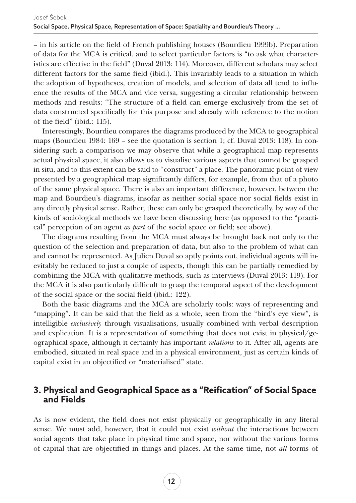– in his article on the field of French publishing houses (Bourdieu 1999b). Preparation of data for the MCA is critical, and to select particular factors is "to ask what characteristics are effective in the field" (Duval 2013: 114). Moreover, different scholars may select different factors for the same field (ibid.). This invariably leads to a situation in which the adoption of hypotheses, creation of models, and selection of data all tend to influence the results of the MCA and vice versa, suggesting a circular relationship between methods and results: "The structure of a field can emerge exclusively from the set of data constructed specifically for this purpose and already with reference to the notion of the field" (ibid.: 115).

Interestingly, Bourdieu compares the diagrams produced by the MCA to geographical maps (Bourdieu 1984: 169 – see the quotation is section 1; cf. Duval 2013: 118). In considering such a comparison we may observe that while a geographical map represents actual physical space, it also allows us to visualise various aspects that cannot be grasped in situ, and to this extent can be said to "construct" a place. The panoramic point of view presented by a geographical map significantly differs, for example, from that of a photo of the same physical space. There is also an important difference, however, between the map and Bourdieu's diagrams, insofar as neither social space nor social fields exist in any directly physical sense. Rather, these can only be grasped theoretically, by way of the kinds of sociological methods we have been discussing here (as opposed to the "practical" perception of an agent *as part* of the social space or field; see above).

The diagrams resulting from the MCA must always be brought back not only to the question of the selection and preparation of data, but also to the problem of what can and cannot be represented. As Julien Duval so aptly points out, individual agents will inevitably be reduced to just a couple of aspects, though this can be partially remedied by combining the MCA with qualitative methods, such as interviews (Duval 2013: 119). For the MCA it is also particularly difficult to grasp the temporal aspect of the development of the social space or the social field (ibid.: 122).

Both the basic diagrams and the MCA are scholarly tools: ways of representing and "mapping". It can be said that the field as a whole, seen from the "bird's eye view", is intelligible *exclusively* through visualisations, usually combined with verbal description and explication. It is a representation of something that does not exist in physical/geographical space, although it certainly has important *relations* to it. After all, agents are embodied, situated in real space and in a physical environment, just as certain kinds of capital exist in an objectified or "materialised" state.

#### **3. Physical and Geographical Space as a "Reification" of Social Space and Fields**

As is now evident, the field does not exist physically or geographically in any literal sense. We must add, however, that it could not exist *without* the interactions between social agents that take place in physical time and space, nor without the various forms of capital that are objectified in things and places. At the same time, not *all* forms of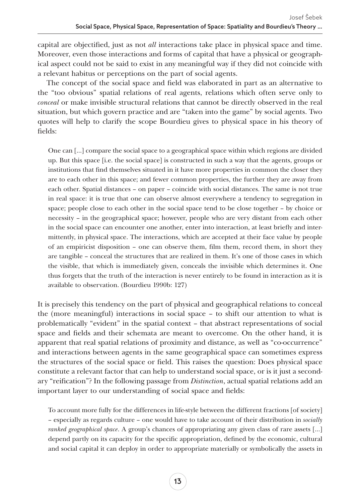capital are objectified, just as not *all* interactions take place in physical space and time. Moreover, even those interactions and forms of capital that have a physical or geographical aspect could not be said to exist in any meaningful way if they did not coincide with a relevant habitus or perceptions on the part of social agents.

The concept of the social space and field was elaborated in part as an alternative to the "too obvious" spatial relations of real agents, relations which often serve only to *conceal* or make invisible structural relations that cannot be directly observed in the real situation, but which govern practice and are "taken into the game" by social agents. Two quotes will help to clarify the scope Bourdieu gives to physical space in his theory of fields:

One can […] compare the social space to a geographical space within which regions are divided up. But this space [i.e. the social space] is constructed in such a way that the agents, groups or institutions that find themselves situated in it have more properties in common the closer they are to each other in this space; and fewer common properties, the further they are away from each other. Spatial distances – on paper – coincide with social distances. The same is not true in real space: it is true that one can observe almost everywhere a tendency to segregation in space; people close to each other in the social space tend to be close together – by choice or necessity – in the geographical space; however, people who are very distant from each other in the social space can encounter one another, enter into interaction, at least briefly and intermittently, in physical space. The interactions, which are accepted at their face value by people of an empiricist disposition – one can observe them, film them, record them, in short they are tangible – conceal the structures that are realized in them. It's one of those cases in which the visible, that which is immediately given, conceals the invisible which determines it. One thus forgets that the truth of the interaction is never entirely to be found in interaction as it is available to observation. (Bourdieu 1990b: 127)

It is precisely this tendency on the part of physical and geographical relations to conceal the (more meaningful) interactions in social space – to shift our attention to what is problematically "evident" in the spatial context – that abstract representations of social space and fields and their schemata are meant to overcome. On the other hand, it is apparent that real spatial relations of proximity and distance, as well as "co-occurrence" and interactions between agents in the same geographical space can sometimes express the structures of the social space or field. This raises the question: Does physical space constitute a relevant factor that can help to understand social space, or is it just a secondary "reification"? In the following passage from *Distinction*, actual spatial relations add an important layer to our understanding of social space and fields:

To account more fully for the differences in life-style between the different fractions [of society] – especially as regards culture – one would have to take account of their distribution in *socially ranked geographical space*. A group's chances of appropriating any given class of rare assets […] depend partly on its capacity for the specific appropriation, defined by the economic, cultural and social capital it can deploy in order to appropriate materially or symbolically the assets in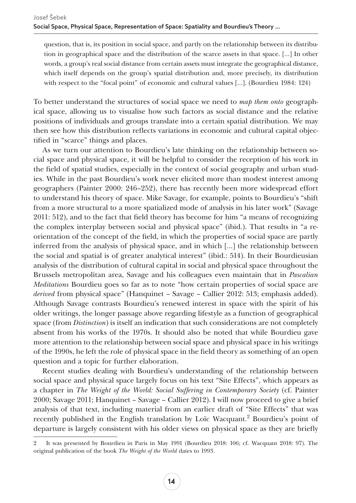question, that is, its position in social space, and partly on the relationship between its distribution in geographical space and the distribution of the scarce assets in that space. […] In other words, a group's real social distance from certain assets must integrate the geographical distance, which itself depends on the group's spatial distribution and, more precisely, its distribution with respect to the "focal point" of economic and cultural values […]. (Bourdieu 1984: 124)

To better understand the structures of social space we need to *map them onto* geographical space, allowing us to visualise how such factors as social distance and the relative positions of individuals and groups translate into a certain spatial distribution. We may then see how this distribution reflects variations in economic and cultural capital objectified in "scarce" things and places.

As we turn our attention to Bourdieu's late thinking on the relationship between social space and physical space, it will be helpful to consider the reception of his work in the field of spatial studies, especially in the context of social geography and urban studies. While in the past Bourdieu's work never elicited more than modest interest among geographers (Painter 2000: 246–252), there has recently been more widespread effort to understand his theory of space. Mike Savage, for example, points to Bourdieu's "shift from a more structural to a more spatialized mode of analysis in his later work" (Savage 2011: 512), and to the fact that field theory has become for him "a means of recognizing the complex interplay between social and physical space" (ibid.). That results in "a reorientation of the concept of the field, in which the properties of social space are partly inferred from the analysis of physical space, and in which […] the relationship between the social and spatial is of greater analytical interest" (ibid.: 514). In their Bourdieusian analysis of the distribution of cultural capital in social and physical space throughout the Brussels metropolitan area, Savage and his colleagues even maintain that in *Pascalian Meditations* Bourdieu goes so far as to note "how certain properties of social space are *derived* from physical space" (Hanquinet – Savage – Callier 2012: 513; emphasis added). Although Savage contrasts Bourdieu's renewed interest in space with the spirit of his older writings, the longer passage above regarding lifestyle as a function of geographical space (from *Distinction*) is itself an indication that such considerations are not completely absent from his works of the 1970s. It should also be noted that while Bourdieu gave more attention to the relationship between social space and physical space in his writings of the 1990s, he left the role of physical space in the field theory as something of an open question and a topic for further elaboration.

Recent studies dealing with Bourdieu's understanding of the relationship between social space and physical space largely focus on his text "Site Effects", which appears as a chapter in *The Weight of the World: Social Suffering in Contemporary Society* (cf. Painter 2000; Savage 2011; Hanquinet – Savage – Callier 2012). I will now proceed to give a brief analysis of that text, including material from an earlier draft of "Site Effects" that was recently published in the English translation by Loïc Wacquant.<sup>2</sup> Bourdieu's point of departure is largely consistent with his older views on physical space as they are briefly

<sup>2</sup> It was presented by Bourdieu in Paris in May 1991 (Bourdieu 2018: 106; cf. Wacquant 2018: 97). The original publication of the book *The Weight of the World* dates to 1993.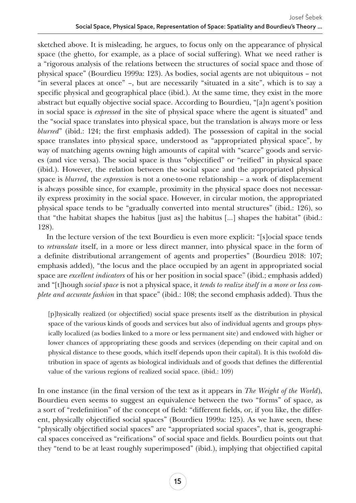sketched above. It is misleading, he argues, to focus only on the appearance of physical space (the ghetto, for example, as a place of social suffering). What we need rather is a "rigorous analysis of the relations between the structures of social space and those of physical space" (Bourdieu 1999a: 123). As bodies, social agents are not ubiquitous – not "in several places at once" –, but are necessarily "situated in a site", which is to say a specific physical and geographical place (ibid.). At the same time, they exist in the more abstract but equally objective social space. According to Bourdieu, "[a]n agent's position in social space is *expressed* in the site of physical space where the agent is situated" and the "social space translates into physical space, but the translation is always more or less *blurred*" (ibid.: 124; the first emphasis added). The possession of capital in the social space translates into physical space, understood as "appropriated physical space", by way of matching agents owning high amounts of capital with "scarce" goods and services (and vice versa). The social space is thus "objectified" or "reified" in physical space (ibid.). However, the relation between the social space and the appropriated physical space is *blurred*, the *expression* is not a one-to-one relationship – a work of displacement is always possible since, for example, proximity in the physical space does not necessarily express proximity in the social space. However, in circular motion, the appropriated physical space tends to be "gradually converted into mental structures" (ibid.: 126), so that "the habitat shapes the habitus [just as] the habitus […] shapes the habitat" (ibid.: 128).

In the lecture version of the text Bourdieu is even more explicit: "[s]ocial space tends to *retranslate* itself, in a more or less direct manner, into physical space in the form of a definite distributional arrangement of agents and properties" (Bourdieu 2018: 107; emphasis added), "the locus and the place occupied by an agent in appropriated social space are *excellent indicators* of his or her position in social space" (ibid.; emphasis added) and "[t]hough *social space* is not a physical space, it *tends to realize itself in a more or less complete and accurate fashion* in that space" (ibid.: 108; the second emphasis added). Thus the

[p]hysically realized (or objectified) social space presents itself as the distribution in physical space of the various kinds of goods and services but also of individual agents and groups physically localized (as bodies linked to a more or less permanent site) and endowed with higher or lower chances of appropriating these goods and services (depending on their capital and on physical distance to these goods, which itself depends upon their capital). It is this twofold distribution in space of agents as biological individuals and of goods that defines the differential value of the various regions of realized social space. (ibid.: 109)

In one instance (in the final version of the text as it appears in *The Weight of the World*), Bourdieu even seems to suggest an equivalence between the two "forms" of space, as a sort of "redefinition" of the concept of field: "different fields, or, if you like, the different, physically objectified social spaces" (Bourdieu 1999a: 125). As we have seen, these "physically objectified social spaces" are "appropriated social spaces", that is, geographical spaces conceived as "reifications" of social space and fields. Bourdieu points out that they "tend to be at least roughly superimposed" (ibid.), implying that objectified capital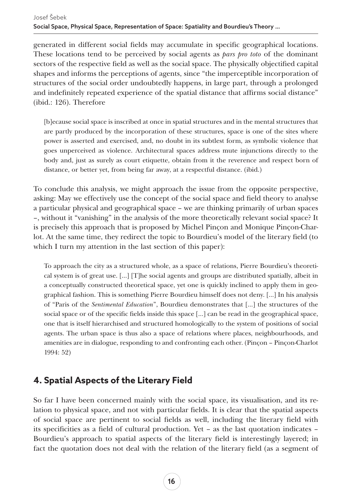generated in different social fields may accumulate in specific geographical locations. These locations tend to be perceived by social agents as *pars pro toto* of the dominant sectors of the respective field as well as the social space. The physically objectified capital shapes and informs the perceptions of agents, since "the imperceptible incorporation of structures of the social order undoubtedly happens, in large part, through a prolonged and indefinitely repeated experience of the spatial distance that affirms social distance" (ibid.: 126). Therefore

[b]ecause social space is inscribed at once in spatial structures and in the mental structures that are partly produced by the incorporation of these structures, space is one of the sites where power is asserted and exercised, and, no doubt in its subtlest form, as symbolic violence that goes unperceived as violence. Architectural spaces address mute injunctions directly to the body and, just as surely as court etiquette, obtain from it the reverence and respect born of distance, or better yet, from being far away, at a respectful distance. (ibid.)

To conclude this analysis, we might approach the issue from the opposite perspective, asking: May we effectively use the concept of the social space and field theory to analyse a particular physical and geographical space – we are thinking primarily of urban spaces –, without it "vanishing" in the analysis of the more theoretically relevant social space? It is precisely this approach that is proposed by Michel Pinçon and Monique Pinçon-Charlot. At the same time, they redirect the topic to Bourdieu's model of the literary field (to which I turn my attention in the last section of this paper):

To approach the city as a structured whole, as a space of relations, Pierre Bourdieu's theoretical system is of great use. […] [T]he social agents and groups are distributed spatially, albeit in a conceptually constructed theoretical space, yet one is quickly inclined to apply them in geographical fashion. This is something Pierre Bourdieu himself does not deny. […] In his analysis of "Paris of the *Sentimental Education*", Bourdieu demonstrates that […] the structures of the social space or of the specific fields inside this space [...] can be read in the geographical space, one that is itself hierarchised and structured homologically to the system of positions of social agents. The urban space is thus also a space of relations where places, neighbourhoods, and amenities are in dialogue, responding to and confronting each other. (Pinçon – Pinçon-Charlot 1994: 52)

## **4. Spatial Aspects of the Literary Field**

So far I have been concerned mainly with the social space, its visualisation, and its relation to physical space, and not with particular fields. It is clear that the spatial aspects of social space are pertinent to social fields as well, including the literary field with its specificities as a field of cultural production. Yet – as the last quotation indicates – Bourdieu's approach to spatial aspects of the literary field is interestingly layered; in fact the quotation does not deal with the relation of the literary field (as a segment of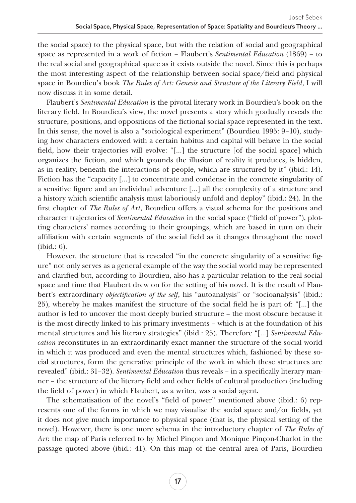the social space) to the physical space, but with the relation of social and geographical space as represented in a work of fiction – Flaubert's *Sentimental Education* (1869) – to the real social and geographical space as it exists outside the novel. Since this is perhaps the most interesting aspect of the relationship between social space/field and physical space in Bourdieu's book *The Rules of Art: Genesis and Structure of the Literary Field*, I will now discuss it in some detail.

Flaubert's *Sentimental Education* is the pivotal literary work in Bourdieu's book on the literary field. In Bourdieu's view, the novel presents a story which gradually reveals the structure, positions, and oppositions of the fictional social space represented in the text. In this sense, the novel is also a "sociological experiment" (Bourdieu 1995: 9–10), studying how characters endowed with a certain habitus and capital will behave in the social field, how their trajectories will evolve: "[…] the structure [of the social space] which organizes the fiction, and which grounds the illusion of reality it produces, is hidden, as in reality, beneath the interactions of people, which are structured by it" (ibid.: 14). Fiction has the "capacity […] to concentrate and condense in the concrete singularity of a sensitive figure and an individual adventure […] all the complexity of a structure and a history which scientific analysis must laboriously unfold and deploy" (ibid.: 24). In the first chapter of *The Rules of Art*, Bourdieu offers a visual schema for the positions and character trajectories of *Sentimental Education* in the social space ("field of power"), plotting characters' names according to their groupings, which are based in turn on their affiliation with certain segments of the social field as it changes throughout the novel (ibid.: 6).

However, the structure that is revealed "in the concrete singularity of a sensitive figure" not only serves as a general example of the way the social world may be represented and clarified but, according to Bourdieu, also has a particular relation to the real social space and time that Flaubert drew on for the setting of his novel. It is the result of Flaubert's extraordinary *objectification of the self*, his "autoanalysis" or "socioanalysis" (ibid.: 25), whereby he makes manifest the structure of the social field he is part of: "[…] the author is led to uncover the most deeply buried structure – the most obscure because it is the most directly linked to his primary investments – which is at the foundation of his mental structures and his literary strategies" (ibid.: 25). Therefore "[…] *Sentimental Education* reconstitutes in an extraordinarily exact manner the structure of the social world in which it was produced and even the mental structures which, fashioned by these social structures, form the generative principle of the work in which these structures are revealed" (ibid.: 31–32). *Sentimental Education* thus reveals – in a specifically literary manner – the structure of the literary field and other fields of cultural production (including the field of power) in which Flaubert, as a writer, was a social agent.

The schematisation of the novel's "field of power" mentioned above (ibid.: 6) represents one of the forms in which we may visualise the social space and/or fields, yet it does not give much importance to physical space (that is, the physical setting of the novel). However, there is one more schema in the introductory chapter of *The Rules of Art*: the map of Paris referred to by Michel Pinçon and Monique Pinçon-Charlot in the passage quoted above (ibid.: 41). On this map of the central area of Paris, Bourdieu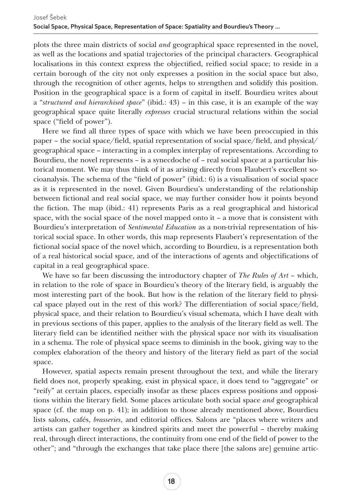plots the three main districts of social *and* geographical space represented in the novel, as well as the locations and spatial trajectories of the principal characters. Geographical localisations in this context express the objectified, reified social space; to reside in a certain borough of the city not only expresses a position in the social space but also, through the recognition of other agents, helps to strengthen and solidify this position. Position in the geographical space is a form of capital in itself. Bourdieu writes about a "*structured and hierarchised space*" (ibid.: 43) – in this case, it is an example of the way geographical space quite literally *expresses* crucial structural relations within the social space ("field of power").

Here we find all three types of space with which we have been preoccupied in this paper – the social space/field, spatial representation of social space/field, and physical/ geographical space – interacting in a complex interplay of representations. According to Bourdieu, the novel represents – is a synecdoche of – real social space at a particular historical moment. We may thus think of it as arising directly from Flaubert's excellent socioanalysis. The schema of the "field of power" (ibid.: 6) is a visualisation of social space as it is represented in the novel. Given Bourdieu's understanding of the relationship between fictional and real social space, we may further consider how it points beyond the fiction. The map (ibid.: 41) represents Paris as a real geographical and historical space, with the social space of the novel mapped onto  $it - a$  move that is consistent with Bourdieu's interpretation of *Sentimental Education* as a non-trivial representation of historical social space. In other words, this map represents Flaubert's representation of the fictional social space of the novel which, according to Bourdieu, is a representation both of a real historical social space, and of the interactions of agents and objectifications of capital in a real geographical space.

We have so far been discussing the introductory chapter of *The Rules of Art* – which, in relation to the role of space in Bourdieu's theory of the literary field, is arguably the most interesting part of the book. But how is the relation of the literary field to physical space played out in the rest of this work? The differentiation of social space/field, physical space, and their relation to Bourdieu's visual schemata, which I have dealt with in previous sections of this paper, applies to the analysis of the literary field as well. The literary field can be identified neither with the physical space nor with its visualisation in a schema. The role of physical space seems to diminish in the book, giving way to the complex elaboration of the theory and history of the literary field as part of the social space.

However, spatial aspects remain present throughout the text, and while the literary field does not, properly speaking, exist in physical space, it does tend to "aggregate" or "reify" at certain places, especially insofar as these places express positions and oppositions within the literary field. Some places articulate both social space *and* geographical space (cf. the map on p. 41); in addition to those already mentioned above, Bourdieu lists salons, cafés, *brasseries*, and editorial offices. Salons are "places where writers and artists can gather together as kindred spirits and meet the powerful – thereby making real, through direct interactions, the continuity from one end of the field of power to the other"; and "through the exchanges that take place there [the salons are] genuine artic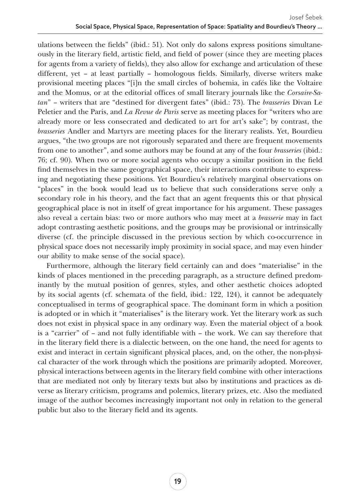ulations between the fields" (ibid.: 51). Not only do salons express positions simultaneously in the literary field, artistic field, and field of power (since they are meeting places for agents from a variety of fields), they also allow for exchange and articulation of these different, yet – at least partially – homologous fields. Similarly, diverse writers make provisional meeting places "[i]n the small circles of bohemia, in cafés like the Voltaire and the Momus, or at the editorial offices of small literary journals like the *Corsaire-Satan*" – writers that are "destined for divergent fates" (ibid.: 73). The *brasseries* Divan Le Peletier and the Paris, and *La Revue de Paris* serve as meeting places for "writers who are already more or less consecrated and dedicated to art for art's sake"; by contrast, the *brasseries* Andler and Martyrs are meeting places for the literary realists. Yet, Bourdieu argues, "the two groups are not rigorously separated and there are frequent movements from one to another", and some authors may be found at any of the four *brasseries* (ibid.: 76; cf. 90). When two or more social agents who occupy a similar position in the field find themselves in the same geographical space, their interactions contribute to expressing and negotiating these positions. Yet Bourdieu's relatively marginal observations on "places" in the book would lead us to believe that such considerations serve only a secondary role in his theory, and the fact that an agent frequents this or that physical geographical place is not in itself of great importance for his argument. These passages also reveal a certain bias: two or more authors who may meet at a *brasserie* may in fact adopt contrasting aesthetic positions, and the groups may be provisional or intrinsically diverse (cf. the principle discussed in the previous section by which co-occurrence in physical space does not necessarily imply proximity in social space, and may even hinder our ability to make sense of the social space).

Furthermore, although the literary field certainly can and does "materialise" in the kinds of places mentioned in the preceding paragraph, as a structure defined predominantly by the mutual position of genres, styles, and other aesthetic choices adopted by its social agents (cf. schemata of the field, ibid.: 122, 124), it cannot be adequately conceptualised in terms of geographical space. The dominant form in which a position is adopted or in which it "materialises" is the literary work. Yet the literary work as such does not exist in physical space in any ordinary way. Even the material object of a book is a "carrier" of – and not fully identifiable with – the work. We can say therefore that in the literary field there is a dialectic between, on the one hand, the need for agents to exist and interact in certain significant physical places, and, on the other, the non-physical character of the work through which the positions are primarily adopted. Moreover, physical interactions between agents in the literary field combine with other interactions that are mediated not only by literary texts but also by institutions and practices as diverse as literary criticism, programs and polemics, literary prizes, etc. Also the mediated image of the author becomes increasingly important not only in relation to the general public but also to the literary field and its agents.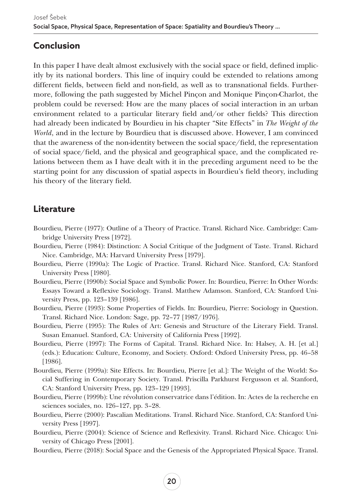## **Conclusion**

In this paper I have dealt almost exclusively with the social space or field, defined implicitly by its national borders. This line of inquiry could be extended to relations among different fields, between field and non-field, as well as to transnational fields. Furthermore, following the path suggested by Michel Pinçon and Monique Pinçon-Charlot, the problem could be reversed: How are the many places of social interaction in an urban environment related to a particular literary field and/or other fields? This direction had already been indicated by Bourdieu in his chapter "Site Effects" in *The Weight of the World*, and in the lecture by Bourdieu that is discussed above. However, I am convinced that the awareness of the non-identity between the social space/field, the representation of social space/field, and the physical and geographical space, and the complicated relations between them as I have dealt with it in the preceding argument need to be the starting point for any discussion of spatial aspects in Bourdieu's field theory, including his theory of the literary field.

## **Literature**

- Bourdieu, Pierre (1977): Outline of a Theory of Practice. Transl. Richard Nice. Cambridge: Cambridge University Press [1972].
- Bourdieu, Pierre (1984): Distinction: A Social Critique of the Judgment of Taste. Transl. Richard Nice. Cambridge, MA: Harvard University Press [1979].
- Bourdieu, Pierre (1990a): The Logic of Practice. Transl. Richard Nice. Stanford, CA: Stanford University Press [1980].
- Bourdieu, Pierre (1990b): Social Space and Symbolic Power. In: Bourdieu, Pierre: In Other Words: Essays Toward a Reflexive Sociology. Transl. Matthew Adamson. Stanford, CA: Stanford University Press, pp. 123–139 [1986].
- Bourdieu, Pierre (1993): Some Properties of Fields. In: Bourdieu, Pierre: Sociology in Question. Transl. Richard Nice. London: Sage, pp. 72–77 [1987/1976].
- Bourdieu, Pierre (1995): The Rules of Art: Genesis and Structure of the Literary Field. Transl. Susan Emanuel. Stanford, CA: University of California Press [1992].
- Bourdieu, Pierre (1997): The Forms of Capital. Transl. Richard Nice. In: Halsey, A. H. [et al.] (eds.): Education: Culture, Economy, and Society. Oxford: Oxford University Press, pp. 46–58 [1986].
- Bourdieu, Pierre (1999a): Site Effects. In: Bourdieu, Pierre [et al.]: The Weight of the World: Social Suffering in Contemporary Society. Transl. Priscilla Parkhurst Fergusson et al. Stanford, CA: Stanford University Press, pp. 123–129 [1993].
- Bourdieu, Pierre (1999b): Une révolution conservatrice dans l'édition. In: Actes de la recherche en sciences sociales, no. 126–127, pp. 3–28.
- Bourdieu, Pierre (2000): Pascalian Meditations. Transl. Richard Nice. Stanford, CA: Stanford University Press [1997].
- Bourdieu, Pierre (2004): Science of Science and Reflexivity. Transl. Richard Nice. Chicago: University of Chicago Press [2001].
- Bourdieu, Pierre (2018): Social Space and the Genesis of the Appropriated Physical Space. Transl.